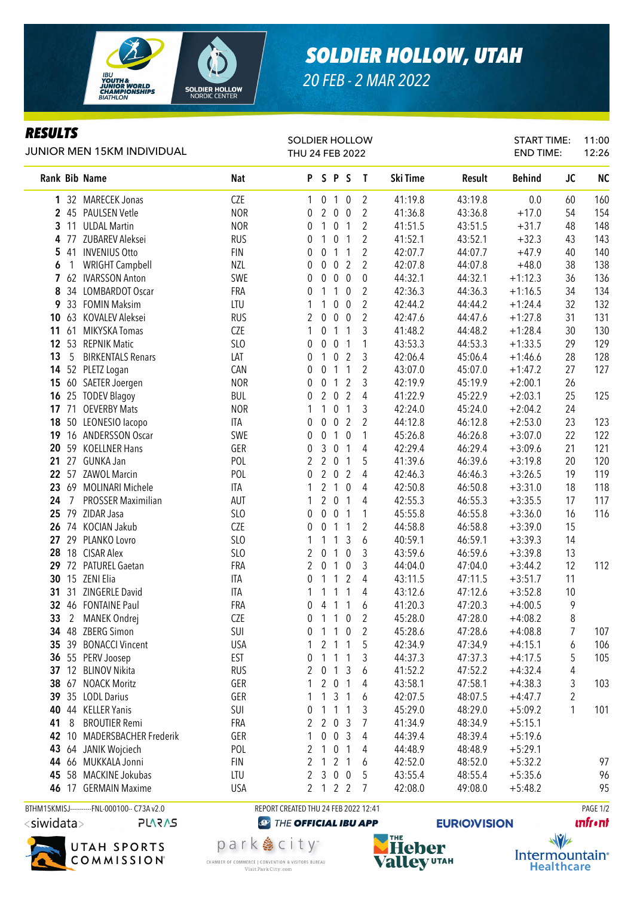

## *SOLDIER HOLLOW, UTAH*

START TIME:

11:00

*20 FEB - 2 MAR 2022*

SOLDIER HOLLOW

## *RESULTS*

| JUNIOR MEN 15KM INDIVIDUAL |                                              |            | THU 24 FEB 2022                      |                  |                  |                  |                  |          |         | END TIME:     |                         | 12:26     |
|----------------------------|----------------------------------------------|------------|--------------------------------------|------------------|------------------|------------------|------------------|----------|---------|---------------|-------------------------|-----------|
| Rank Bib Name              |                                              | Nat        |                                      | PSPS             |                  |                  | $\mathbf{I}$     | Ski Time | Result  | <b>Behind</b> | <b>JC</b>               | <b>NC</b> |
|                            | 1 32 MARECEK Jonas                           | <b>CZE</b> | 1                                    | 0 <sub>1</sub>   |                  | $\mathbf 0$      | $\overline{2}$   | 41:19.8  | 43:19.8 | 0.0           | 60                      | 160       |
|                            | 2 45 PAULSEN Vetle                           | <b>NOR</b> | 0                                    | $\overline{2}$   | $\pmb{0}$        | $\pmb{0}$        | $\overline{2}$   | 41:36.8  | 43:36.8 | $+17.0$       | 54                      | 154       |
| $3 \t11$                   | <b>ULDAL Martin</b>                          | <b>NOR</b> | 0                                    | $\mathbf{1}$     | $\pmb{0}$        | $\mathbf{1}$     | $\overline{2}$   | 41:51.5  | 43:51.5 | $+31.7$       | 48                      | 148       |
| 4 77                       | ZUBAREV Aleksei                              | <b>RUS</b> | 0                                    | 1                | $\pmb{0}$        | $\mathbf{1}$     | $\overline{2}$   | 41:52.1  | 43:52.1 | $+32.3$       | 43                      | 143       |
| 5 41                       | <b>INVENIUS Otto</b>                         | <b>FIN</b> | 0                                    | $\boldsymbol{0}$ | $\mathbf{1}$     | $\mathbf{1}$     | 2                | 42:07.7  | 44:07.7 | $+47.9$       | 40                      | 140       |
| $\mathbf{1}$<br>6          | <b>WRIGHT Campbell</b>                       | NZL        | 0                                    | $\boldsymbol{0}$ | $\pmb{0}$        | $\overline{2}$   | $\overline{2}$   | 42:07.8  | 44:07.8 | $+48.0$       | 38                      | 138       |
|                            | 7 62 IVARSSON Anton                          | SWE        | 0                                    | $\boldsymbol{0}$ | $\mathbf 0$      | $\pmb{0}$        | $\boldsymbol{0}$ | 44:32.1  | 44:32.1 | $+1:12.3$     | 36                      | 136       |
| 34<br>8                    | <b>LOMBARDOT Oscar</b>                       | FRA        | 0                                    | 1                | 1                | $\mathbf 0$      | 2                | 42:36.3  | 44:36.3 | $+1:16.5$     | 34                      | 134       |
|                            | 9 33 FOMIN Maksim                            | LTU        | 1                                    | 1                | 0                | $\mathbf 0$      | $\overline{2}$   | 42:44.2  | 44:44.2 | $+1:24.4$     | 32                      | 132       |
|                            | 10 63 KOVALEV Aleksei                        | <b>RUS</b> | 2                                    | $\pmb{0}$        | $\pmb{0}$        | $\pmb{0}$        | $\overline{2}$   | 42:47.6  | 44:47.6 | $+1:27.8$     | 31                      | 131       |
| 11 61                      | MIKYSKA Tomas                                | CZE        | 1                                    | 0                | $\mathbf{1}$     | $\mathbf{1}$     | 3                | 41:48.2  | 44:48.2 | $+1:28.4$     | 30                      | 130       |
| 12 53                      | <b>REPNIK Matic</b>                          | SLO        | 0                                    | $\pmb{0}$        | $\mathbf 0$      | $\mathbf{1}$     | 1                | 43:53.3  | 44:53.3 | $+1:33.5$     | 29                      | 129       |
| 13<br>5                    | <b>BIRKENTALS Renars</b>                     | LAT        | 0                                    | 1                | $\pmb{0}$        | $\overline{2}$   | 3                | 42:06.4  | 45:06.4 | $+1:46.6$     | 28                      | 128       |
|                            | 14 52 PLETZ Logan                            | CAN        | 0                                    | 0                | $\mathbf{1}$     | $\mathbf{1}$     | 2                | 43:07.0  | 45:07.0 | $+1:47.2$     | 27                      | 127       |
|                            | 15 60 SAETER Joergen                         | <b>NOR</b> | 0                                    | 0                | $\mathbf{1}$     | $\overline{2}$   | 3                | 42:19.9  | 45:19.9 | $+2:00.1$     | 26                      |           |
|                            | 16 25 TODEV Blagoy                           | <b>BUL</b> | 0                                    | $\overline{2}$   | $\overline{0}$   | $\overline{2}$   | 4                | 41:22.9  | 45:22.9 | $+2:03.1$     | 25                      | 125       |
| 17, 71                     | <b>OEVERBY Mats</b>                          | <b>NOR</b> | 1                                    | 1                | $\boldsymbol{0}$ | $\mathbf{1}$     | 3                | 42:24.0  | 45:24.0 | $+2:04.2$     | 24                      |           |
|                            | 18 50 LEONESIO lacopo                        | <b>ITA</b> | 0                                    | 0                | 0                | $\overline{2}$   | $\overline{2}$   | 44:12.8  | 46:12.8 | $+2:53.0$     | 23                      | 123       |
|                            | 19 16 ANDERSSON Oscar                        | SWE        | 0                                    | 0                | $\mathbf{1}$     | $\bf{0}$         | 1                | 45:26.8  | 46:26.8 | $+3:07.0$     | 22                      | 122       |
|                            | 20 59 KOELLNER Hans                          | GER        | 0                                    | 3                | $\pmb{0}$        | $\mathbf{1}$     | 4                | 42:29.4  | 46:29.4 | $+3:09.6$     | 21                      | 121       |
| 21 27                      | GUNKA Jan                                    | POL        | 2                                    | $\overline{2}$   | $\boldsymbol{0}$ | $\mathbf{1}$     | 5                | 41:39.6  | 46:39.6 | $+3:19.8$     | 20                      | 120       |
|                            | 22 57 ZAWOL Marcin                           | POL        | 0                                    | $\overline{2}$   | $\pmb{0}$        | $\overline{2}$   | 4                | 42:46.3  | 46:46.3 | $+3:26.5$     | 19                      | 119       |
| 23 69                      | MOLINARI Michele                             | ITA        | 1                                    | $\overline{2}$   | $\mathbf{1}$     | $\pmb{0}$        | 4                | 42:50.8  | 46:50.8 | $+3:31.0$     | 18                      | 118       |
| $\overline{7}$<br>24       | <b>PROSSER Maximilian</b>                    | AUT        | 1                                    | $\overline{2}$   | $\pmb{0}$        | $\mathbf{1}$     | 4                | 42:55.3  | 46:55.3 | $+3:35.5$     | 17                      | 117       |
| 25 79                      | ZIDAR Jasa                                   | SLO        | 0                                    | $\pmb{0}$        | $\pmb{0}$        | $\mathbf{1}$     | 1                | 45:55.8  | 46:55.8 | $+3:36.0$     | 16                      | 116       |
|                            | 26 74 KOCIAN Jakub                           | CZE        | 0                                    | $\boldsymbol{0}$ | $\mathbf{1}$     | $\mathbf{1}$     | 2                | 44:58.8  | 46:58.8 | $+3:39.0$     | 15                      |           |
| 27 29                      | PLANKO Lovro                                 | SLO        |                                      | 1                | 1                | 3                | 6                | 40:59.1  | 46:59.1 | $+3:39.3$     | 14                      |           |
|                            | 28 18 CISAR Alex                             | SLO        | 2                                    | 0                | 1                | $\boldsymbol{0}$ | 3                | 43:59.6  | 46:59.6 | $+3:39.8$     | 13                      |           |
|                            | 29 72 PATUREL Gaetan                         | FRA        | 2                                    | $\boldsymbol{0}$ | 1                | $\boldsymbol{0}$ | 3                | 44:04.0  | 47:04.0 | $+3:44.2$     | 12                      | 112       |
|                            | <b>30 15 ZENI Elia</b>                       | ITA        | 0                                    | 1                | 1                | $\overline{2}$   | 4                | 43:11.5  | 47:11.5 | $+3:51.7$     | 11                      |           |
| 31<br>31                   | ZINGERLE David                               | ITA        | 1                                    | 1                | 1                | $\mathbf{1}$     | 4                | 43:12.6  | 47:12.6 | $+3:52.8$     | 10                      |           |
|                            | 32 46 FONTAINE Paul                          | FRA        | 0                                    | 4                | 1                | $\mathbf{1}$     | 6                | 41:20.3  | 47:20.3 | $+4:00.5$     | 9                       |           |
| $\overline{2}$<br>33       | MANEK Ondrej                                 | <b>CZE</b> | 0                                    |                  | $1\quad1$        | $\pmb{0}$        | 2                | 45:28.0  | 47:28.0 | $+4:08.2$     | 8                       |           |
|                            | 34 48 ZBERG Simon                            | <b>SUI</b> | 0                                    | 1 1 0            |                  |                  | 2                | 45:28.6  | 47:28.6 | $+4:08.8$     |                         | 107       |
|                            | 35 39 BONACCI Vincent                        | <b>USA</b> | 1                                    |                  | 2 <sub>1</sub>   | $\mathbf{1}$     | 5                | 42:34.9  | 47:34.9 | $+4:15.1$     | 6                       | 106       |
|                            | 36 55 PERV Joosep                            | EST        | 0                                    | $\mathbf{1}$     | $\mathbf{1}$     | 1                | 3                | 44:37.3  | 47:37.3 | $+4:17.5$     | 5                       | 105       |
|                            | 37 12 BLINOV Nikita                          | <b>RUS</b> | 2                                    | $\boldsymbol{0}$ | 1                | 3                | 6                | 41:52.2  | 47:52.2 | $+4:32.4$     | 4                       |           |
|                            | 38 67 NOACK Moritz                           | GER        | 1                                    | $\overline{2}$   | $\overline{0}$   | 1                | 4                | 43:58.1  | 47:58.1 | $+4:38.3$     | 3                       | 103       |
|                            | 39 35 LODL Darius                            | GER        | 1                                    | $\mathbf{1}$     | 3                | $\mathbf{1}$     | 6                | 42:07.5  | 48:07.5 | $+4:47.7$     | $\overline{\mathbf{c}}$ |           |
| 40                         | 44 KELLER Yanis                              | SUI        | 0                                    | 1                | 1                | 1                | 3                | 45:29.0  | 48:29.0 | $+5:09.2$     | 1                       | 101       |
| 41<br>8                    | <b>BROUTIER Remi</b>                         | FRA        | 2                                    | 2                | $\mathbf 0$      | 3                | 7                | 41:34.9  | 48:34.9 | $+5:15.1$     |                         |           |
| 42 10                      | <b>MADERSBACHER Frederik</b>                 | GER        | 1                                    | 0                | $\mathbf 0$      | 3                | 4                | 44:39.4  | 48:39.4 | $+5:19.6$     |                         |           |
| 43                         | 64 JANIK Wojciech                            | POL        | 2                                    | 1                | $\mathbf 0$      | $\mathbf{1}$     | 4                | 44:48.9  | 48:48.9 | $+5:29.1$     |                         |           |
|                            | 44 66 MUKKALA Jonni                          | <b>FIN</b> | 2                                    | 1                | 2                | $\mathbf{1}$     | 6                | 42:52.0  | 48:52.0 | $+5:32.2$     |                         | 97        |
|                            | 45 58 MACKINE Jokubas                        | LTU        | 2                                    | 3                | $\mathbf 0$      | $\mathbf 0$      | 5                | 43:55.4  | 48:55.4 | $+5:35.6$     |                         | 96        |
|                            | 46 17 GERMAIN Maxime                         | <b>USA</b> | $\mathbf{2}$                         | $122$            |                  |                  | 7                | 42:08.0  | 49:08.0 | $+5:48.2$     |                         | 95        |
|                            | BTHM15KMISJ-----------FNL-000100-- C73A v2.0 |            | REPORT CREATED THU 24 FEB 2022 12:41 |                  |                  |                  |                  |          |         |               |                         | PAGE 1/2  |

<siwidata> **PLARAS** 



park & city<sup>®</sup>

**CHAMBER OF COMMERCE | CONVENTION & VISITORS BUREAU** 

Visit Park City.com

**@ THE OFFICIAL IBU APP** 



**EURIO)VISION** 

**unfront** 

 $\sqrt{v}$ Intermountain<sup>®</sup> **Healthcare**